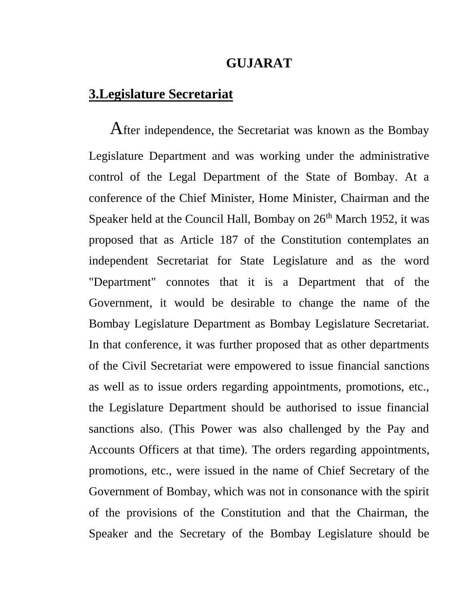## **GUJARAT**

## **3.Legislature Secretariat**

 After independence, the Secretariat was known as the Bombay Legislature Department and was working under the administrative control of the Legal Department of the State of Bombay. At a conference of the Chief Minister, Home Minister, Chairman and the Speaker held at the Council Hall, Bombay on  $26<sup>th</sup>$  March 1952, it was proposed that as Article 187 of the Constitution contemplates an independent Secretariat for State Legislature and as the word "Department" connotes that it is a Department that of the Government, it would be desirable to change the name of the Bombay Legislature Department as Bombay Legislature Secretariat. In that conference, it was further proposed that as other departments of the Civil Secretariat were empowered to issue financial sanctions as well as to issue orders regarding appointments, promotions, etc., the Legislature Department should be authorised to issue financial sanctions also. (This Power was also challenged by the Pay and Accounts Officers at that time). The orders regarding appointments, promotions, etc., were issued in the name of Chief Secretary of the Government of Bombay, which was not in consonance with the spirit of the provisions of the Constitution and that the Chairman, the Speaker and the Secretary of the Bombay Legislature should be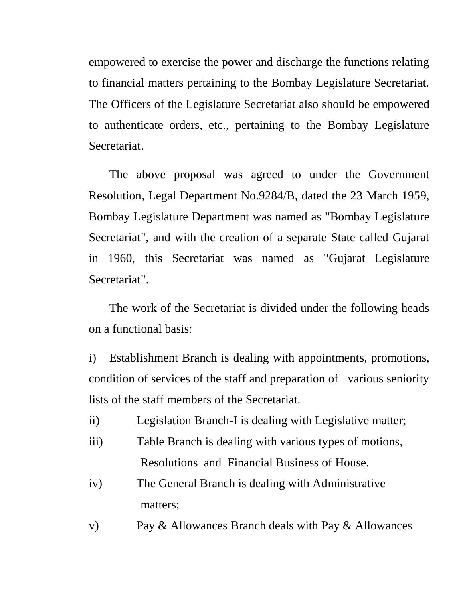empowered to exercise the power and discharge the functions relating to financial matters pertaining to the Bombay Legislature Secretariat. The Officers of the Legislature Secretariat also should be empowered to authenticate orders, etc., pertaining to the Bombay Legislature Secretariat.

The above proposal was agreed to under the Government Resolution, Legal Department No.9284/B, dated the 23 March 1959, Bombay Legislature Department was named as "Bombay Legislature Secretariat", and with the creation of a separate State called Gujarat in 1960, this Secretariat was named as "Gujarat Legislature Secretariat".

The work of the Secretariat is divided under the following heads on a functional basis:

i) Establishment Branch is dealing with appointments, promotions, condition of services of the staff and preparation of various seniority lists of the staff members of the Secretariat.

- ii) Legislation Branch-I is dealing with Legislative matter;
- iii) Table Branch is dealing with various types of motions, Resolutions and Financial Business of House.
- iv) The General Branch is dealing with Administrative matters;
- v) Pay & Allowances Branch deals with Pay & Allowances